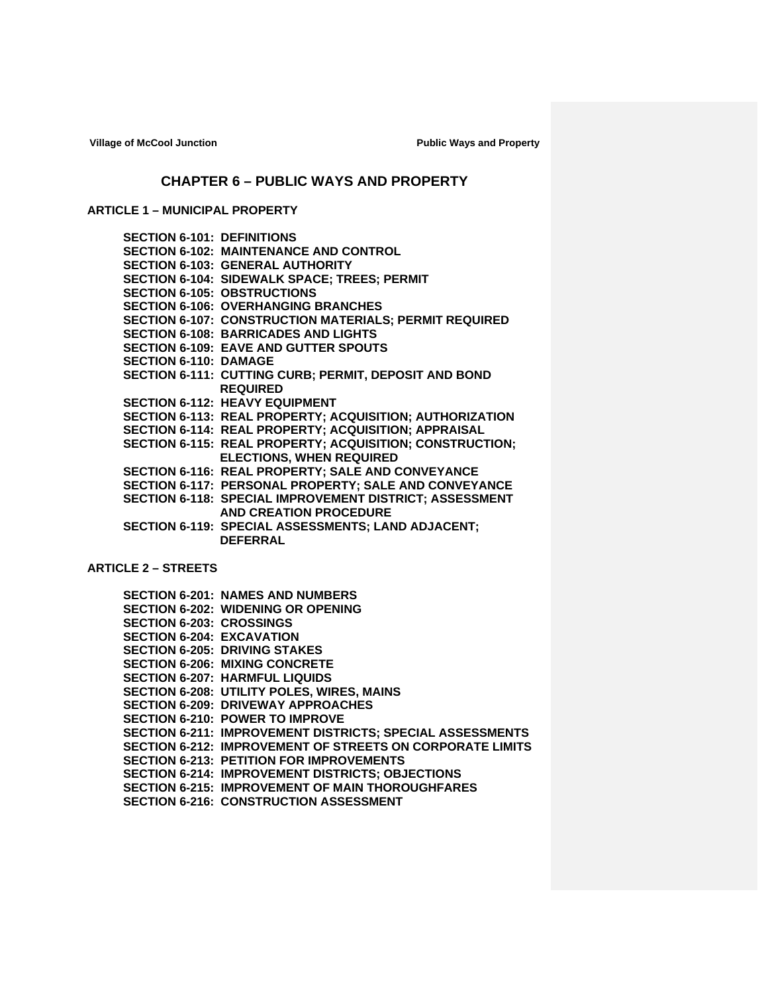# **CHAPTER 6 – PUBLIC WAYS AND PROPERTY**

# **ARTICLE 1 – MUNICIPAL PROPERTY**

| <b>SECTION 6-101: DEFINITIONS</b> |                                                               |
|-----------------------------------|---------------------------------------------------------------|
|                                   | <b>SECTION 6-102: MAINTENANCE AND CONTROL</b>                 |
|                                   | <b>SECTION 6-103: GENERAL AUTHORITY</b>                       |
|                                   | <b>SECTION 6-104: SIDEWALK SPACE; TREES; PERMIT</b>           |
|                                   | <b>SECTION 6-105: OBSTRUCTIONS</b>                            |
|                                   | <b>SECTION 6-106: OVERHANGING BRANCHES</b>                    |
|                                   | <b>SECTION 6-107: CONSTRUCTION MATERIALS; PERMIT REQUIRED</b> |
|                                   | <b>SECTION 6-108: BARRICADES AND LIGHTS</b>                   |
|                                   | <b>SECTION 6-109: EAVE AND GUTTER SPOUTS</b>                  |
| <b>SECTION 6-110: DAMAGE</b>      |                                                               |
|                                   | <b>SECTION 6-111: CUTTING CURB; PERMIT, DEPOSIT AND BOND</b>  |
|                                   | <b>REQUIRED</b>                                               |
|                                   | <b>SECTION 6-112: HEAVY EQUIPMENT</b>                         |
|                                   | SECTION 6-113: REAL PROPERTY; ACQUISITION; AUTHORIZATION      |
|                                   | SECTION 6-114: REAL PROPERTY; ACQUISITION; APPRAISAL          |
|                                   | SECTION 6-115: REAL PROPERTY; ACQUISITION; CONSTRUCTION;      |
|                                   | <b>ELECTIONS, WHEN REQUIRED</b>                               |
|                                   | SECTION 6-116: REAL PROPERTY; SALE AND CONVEYANCE             |
|                                   | SECTION 6-117: PERSONAL PROPERTY; SALE AND CONVEYANCE         |
|                                   | SECTION 6-118: SPECIAL IMPROVEMENT DISTRICT; ASSESSMENT       |
|                                   | <b>AND CREATION PROCEDURE</b>                                 |
|                                   | SECTION 6-119: SPECIAL ASSESSMENTS; LAND ADJACENT;            |
|                                   | <b>DEFERRAL</b>                                               |
|                                   |                                                               |

# **ARTICLE 2 – STREETS**

|                                  | <b>SECTION 6-201: NAMES AND NUMBERS</b>                          |
|----------------------------------|------------------------------------------------------------------|
|                                  | <b>SECTION 6-202: WIDENING OR OPENING</b>                        |
| <b>SECTION 6-203: CROSSINGS</b>  |                                                                  |
| <b>SECTION 6-204: EXCAVATION</b> |                                                                  |
|                                  | <b>SECTION 6-205: DRIVING STAKES</b>                             |
|                                  | <b>SECTION 6-206: MIXING CONCRETE</b>                            |
|                                  | <b>SECTION 6-207: HARMFUL LIQUIDS</b>                            |
|                                  | <b>SECTION 6-208: UTILITY POLES, WIRES, MAINS</b>                |
|                                  | <b>SECTION 6-209: DRIVEWAY APPROACHES</b>                        |
|                                  | <b>SECTION 6-210: POWER TO IMPROVE</b>                           |
|                                  | <b>SECTION 6-211: IMPROVEMENT DISTRICTS; SPECIAL ASSESSMENTS</b> |
|                                  | <b>SECTION 6-212: IMPROVEMENT OF STREETS ON CORPORATE LIMITS</b> |
|                                  | <b>SECTION 6-213: PETITION FOR IMPROVEMENTS</b>                  |
|                                  | <b>SECTION 6-214: IMPROVEMENT DISTRICTS: OBJECTIONS</b>          |
|                                  | <b>SECTION 6-215: IMPROVEMENT OF MAIN THOROUGHFARES</b>          |
|                                  | <b>SECTION 6-216: CONSTRUCTION ASSESSMENT</b>                    |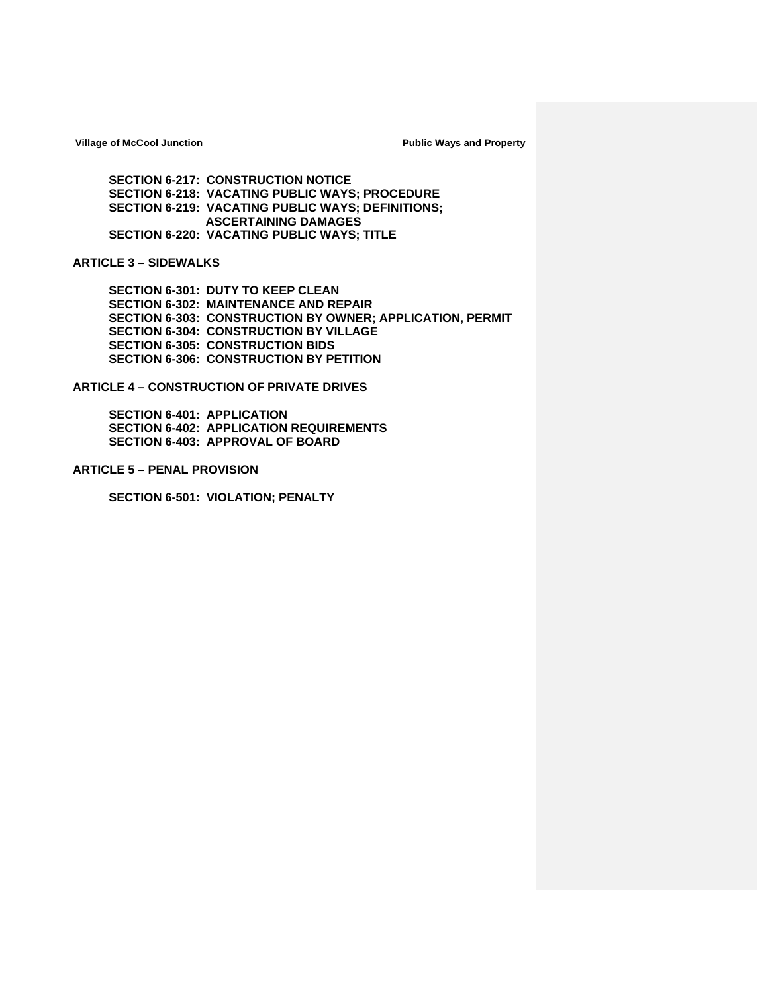**SECTION 6-217: CONSTRUCTION NOTICE SECTION 6-218: VACATING PUBLIC WAYS; PROCEDURE SECTION 6-219: VACATING PUBLIC WAYS; DEFINITIONS; ASCERTAINING DAMAGES SECTION 6-220: VACATING PUBLIC WAYS; TITLE**

## **ARTICLE 3 – SIDEWALKS**

**SECTION 6-301: DUTY TO KEEP CLEAN SECTION 6-302: MAINTENANCE AND REPAIR SECTION 6-303: CONSTRUCTION BY OWNER; APPLICATION, PERMIT SECTION 6-304: CONSTRUCTION BY VILLAGE SECTION 6-305: CONSTRUCTION BIDS SECTION 6-306: CONSTRUCTION BY PETITION**

**ARTICLE 4 – CONSTRUCTION OF PRIVATE DRIVES**

**SECTION 6-401: APPLICATION SECTION 6-402: APPLICATION REQUIREMENTS SECTION 6-403: APPROVAL OF BOARD**

**ARTICLE 5 – PENAL PROVISION**

**SECTION 6-501: VIOLATION; PENALTY**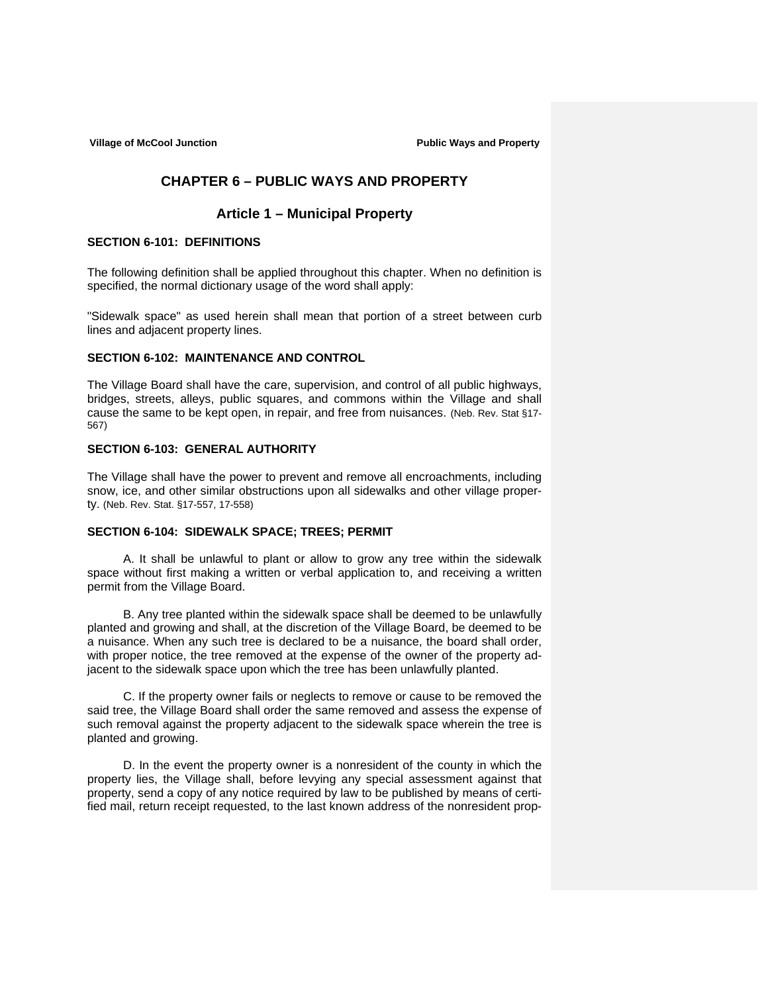# **CHAPTER 6 – PUBLIC WAYS AND PROPERTY**

# **Article 1 – Municipal Property**

## **SECTION 6-101: DEFINITIONS**

The following definition shall be applied throughout this chapter. When no definition is specified, the normal dictionary usage of the word shall apply:

"Sidewalk space" as used herein shall mean that portion of a street between curb lines and adjacent property lines.

## **SECTION 6-102: MAINTENANCE AND CONTROL**

The Village Board shall have the care, supervision, and control of all public highways, bridges, streets, alleys, public squares, and commons within the Village and shall cause the same to be kept open, in repair, and free from nuisances. (Neb. Rev. Stat §17- 567)

## **SECTION 6-103: GENERAL AUTHORITY**

The Village shall have the power to prevent and remove all encroachments, including snow, ice, and other similar obstructions upon all sidewalks and other village property. (Neb. Rev. Stat. §17-557, 17-558)

## **SECTION 6-104: SIDEWALK SPACE; TREES; PERMIT**

 A. It shall be unlawful to plant or allow to grow any tree within the sidewalk space without first making a written or verbal application to, and receiving a written permit from the Village Board.

 B. Any tree planted within the sidewalk space shall be deemed to be unlawfully planted and growing and shall, at the discretion of the Village Board, be deemed to be a nuisance. When any such tree is declared to be a nuisance, the board shall order, with proper notice, the tree removed at the expense of the owner of the property adjacent to the sidewalk space upon which the tree has been unlawfully planted.

 C. If the property owner fails or neglects to remove or cause to be removed the said tree, the Village Board shall order the same removed and assess the expense of such removal against the property adjacent to the sidewalk space wherein the tree is planted and growing.

 D. In the event the property owner is a nonresident of the county in which the property lies, the Village shall, before levying any special assessment against that property, send a copy of any notice required by law to be published by means of certified mail, return receipt requested, to the last known address of the nonresident prop-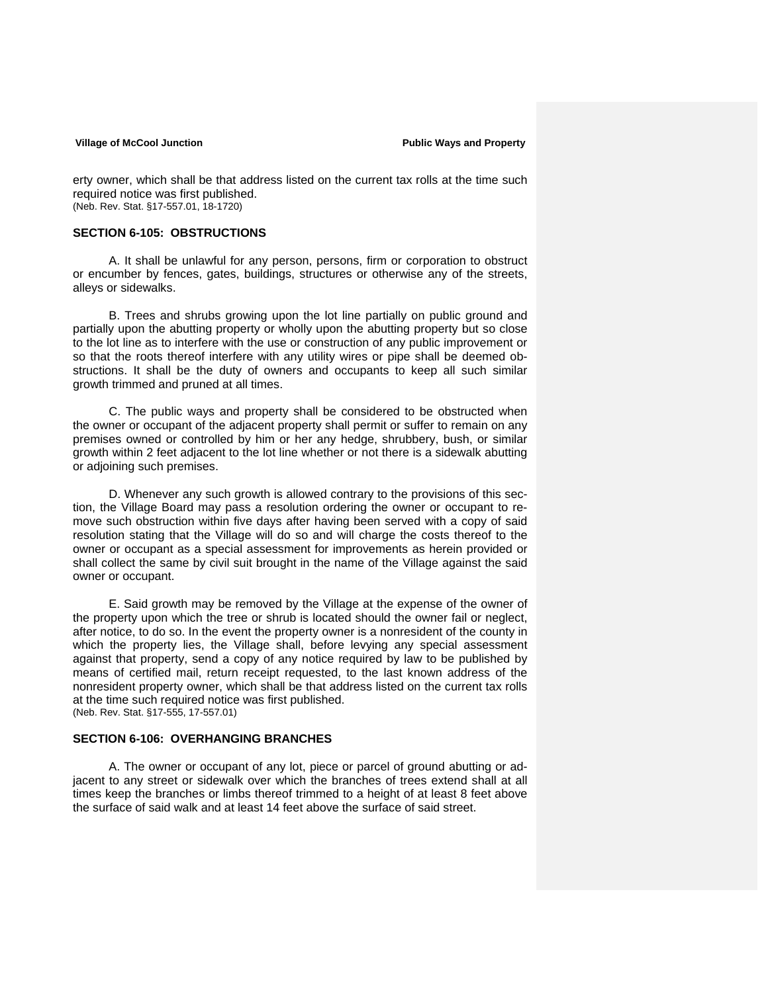erty owner, which shall be that address listed on the current tax rolls at the time such required notice was first published. (Neb. Rev. Stat. §17-557.01, 18-1720)

### **SECTION 6-105: OBSTRUCTIONS**

A. It shall be unlawful for any person, persons, firm or corporation to obstruct or encumber by fences, gates, buildings, structures or otherwise any of the streets, alleys or sidewalks.

 B. Trees and shrubs growing upon the lot line partially on public ground and partially upon the abutting property or wholly upon the abutting property but so close to the lot line as to interfere with the use or construction of any public improvement or so that the roots thereof interfere with any utility wires or pipe shall be deemed obstructions. It shall be the duty of owners and occupants to keep all such similar growth trimmed and pruned at all times.

 C. The public ways and property shall be considered to be obstructed when the owner or occupant of the adjacent property shall permit or suffer to remain on any premises owned or controlled by him or her any hedge, shrubbery, bush, or similar growth within 2 feet adjacent to the lot line whether or not there is a sidewalk abutting or adjoining such premises.

D. Whenever any such growth is allowed contrary to the provisions of this section, the Village Board may pass a resolution ordering the owner or occupant to remove such obstruction within five days after having been served with a copy of said resolution stating that the Village will do so and will charge the costs thereof to the owner or occupant as a special assessment for improvements as herein provided or shall collect the same by civil suit brought in the name of the Village against the said owner or occupant.

E. Said growth may be removed by the Village at the expense of the owner of the property upon which the tree or shrub is located should the owner fail or neglect, after notice, to do so. In the event the property owner is a nonresident of the county in which the property lies, the Village shall, before levying any special assessment against that property, send a copy of any notice required by law to be published by means of certified mail, return receipt requested, to the last known address of the nonresident property owner, which shall be that address listed on the current tax rolls at the time such required notice was first published. (Neb. Rev. Stat. §17-555, 17-557.01)

## **SECTION 6-106: OVERHANGING BRANCHES**

A. The owner or occupant of any lot, piece or parcel of ground abutting or adjacent to any street or sidewalk over which the branches of trees extend shall at all times keep the branches or limbs thereof trimmed to a height of at least 8 feet above the surface of said walk and at least 14 feet above the surface of said street.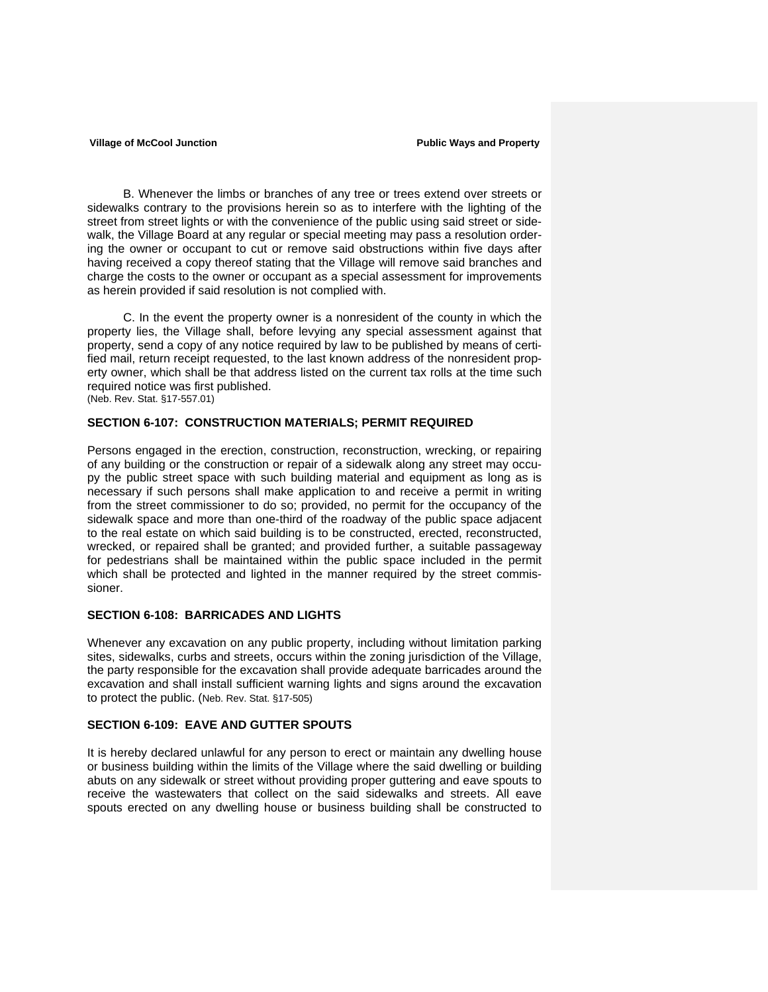B. Whenever the limbs or branches of any tree or trees extend over streets or sidewalks contrary to the provisions herein so as to interfere with the lighting of the street from street lights or with the convenience of the public using said street or sidewalk, the Village Board at any regular or special meeting may pass a resolution ordering the owner or occupant to cut or remove said obstructions within five days after having received a copy thereof stating that the Village will remove said branches and charge the costs to the owner or occupant as a special assessment for improvements as herein provided if said resolution is not complied with.

 C. In the event the property owner is a nonresident of the county in which the property lies, the Village shall, before levying any special assessment against that property, send a copy of any notice required by law to be published by means of certified mail, return receipt requested, to the last known address of the nonresident property owner, which shall be that address listed on the current tax rolls at the time such required notice was first published. (Neb. Rev. Stat. §17-557.01)

### **SECTION 6-107: CONSTRUCTION MATERIALS; PERMIT REQUIRED**

Persons engaged in the erection, construction, reconstruction, wrecking, or repairing of any building or the construction or repair of a sidewalk along any street may occupy the public street space with such building material and equipment as long as is necessary if such persons shall make application to and receive a permit in writing from the street commissioner to do so; provided, no permit for the occupancy of the sidewalk space and more than one-third of the roadway of the public space adjacent to the real estate on which said building is to be constructed, erected, reconstructed, wrecked, or repaired shall be granted; and provided further, a suitable passageway for pedestrians shall be maintained within the public space included in the permit which shall be protected and lighted in the manner required by the street commissioner.

## **SECTION 6-108: BARRICADES AND LIGHTS**

Whenever any excavation on any public property, including without limitation parking sites, sidewalks, curbs and streets, occurs within the zoning jurisdiction of the Village, the party responsible for the excavation shall provide adequate barricades around the excavation and shall install sufficient warning lights and signs around the excavation to protect the public. (Neb. Rev. Stat. §17-505)

## **SECTION 6-109: EAVE AND GUTTER SPOUTS**

It is hereby declared unlawful for any person to erect or maintain any dwelling house or business building within the limits of the Village where the said dwelling or building abuts on any sidewalk or street without providing proper guttering and eave spouts to receive the wastewaters that collect on the said sidewalks and streets. All eave spouts erected on any dwelling house or business building shall be constructed to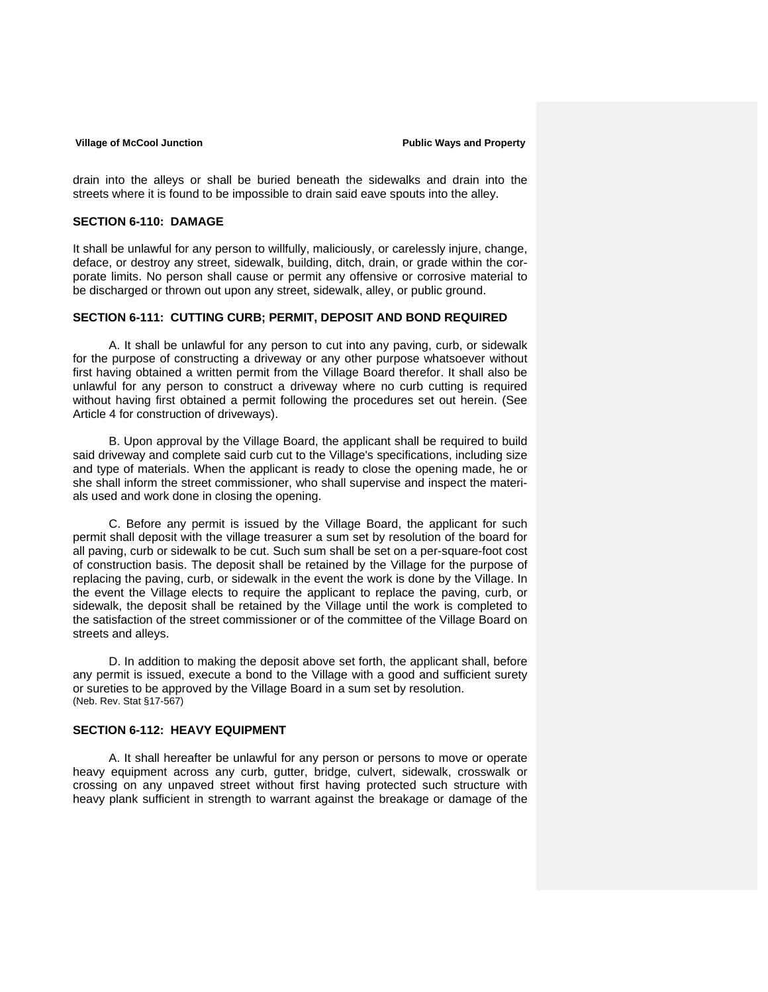drain into the alleys or shall be buried beneath the sidewalks and drain into the streets where it is found to be impossible to drain said eave spouts into the alley.

### **SECTION 6-110: DAMAGE**

It shall be unlawful for any person to willfully, maliciously, or carelessly injure, change, deface, or destroy any street, sidewalk, building, ditch, drain, or grade within the corporate limits. No person shall cause or permit any offensive or corrosive material to be discharged or thrown out upon any street, sidewalk, alley, or public ground.

## **SECTION 6-111: CUTTING CURB; PERMIT, DEPOSIT AND BOND REQUIRED**

 A. It shall be unlawful for any person to cut into any paving, curb, or sidewalk for the purpose of constructing a driveway or any other purpose whatsoever without first having obtained a written permit from the Village Board therefor. It shall also be unlawful for any person to construct a driveway where no curb cutting is required without having first obtained a permit following the procedures set out herein. (See Article 4 for construction of driveways).

B. Upon approval by the Village Board, the applicant shall be required to build said driveway and complete said curb cut to the Village's specifications, including size and type of materials. When the applicant is ready to close the opening made, he or she shall inform the street commissioner, who shall supervise and inspect the materials used and work done in closing the opening.

C. Before any permit is issued by the Village Board, the applicant for such permit shall deposit with the village treasurer a sum set by resolution of the board for all paving, curb or sidewalk to be cut. Such sum shall be set on a per-square-foot cost of construction basis. The deposit shall be retained by the Village for the purpose of replacing the paving, curb, or sidewalk in the event the work is done by the Village. In the event the Village elects to require the applicant to replace the paving, curb, or sidewalk, the deposit shall be retained by the Village until the work is completed to the satisfaction of the street commissioner or of the committee of the Village Board on streets and alleys.

D. In addition to making the deposit above set forth, the applicant shall, before any permit is issued, execute a bond to the Village with a good and sufficient surety or sureties to be approved by the Village Board in a sum set by resolution. (Neb. Rev. Stat §17-567)

## **SECTION 6-112: HEAVY EQUIPMENT**

A. It shall hereafter be unlawful for any person or persons to move or operate heavy equipment across any curb, gutter, bridge, culvert, sidewalk, crosswalk or crossing on any unpaved street without first having protected such structure with heavy plank sufficient in strength to warrant against the breakage or damage of the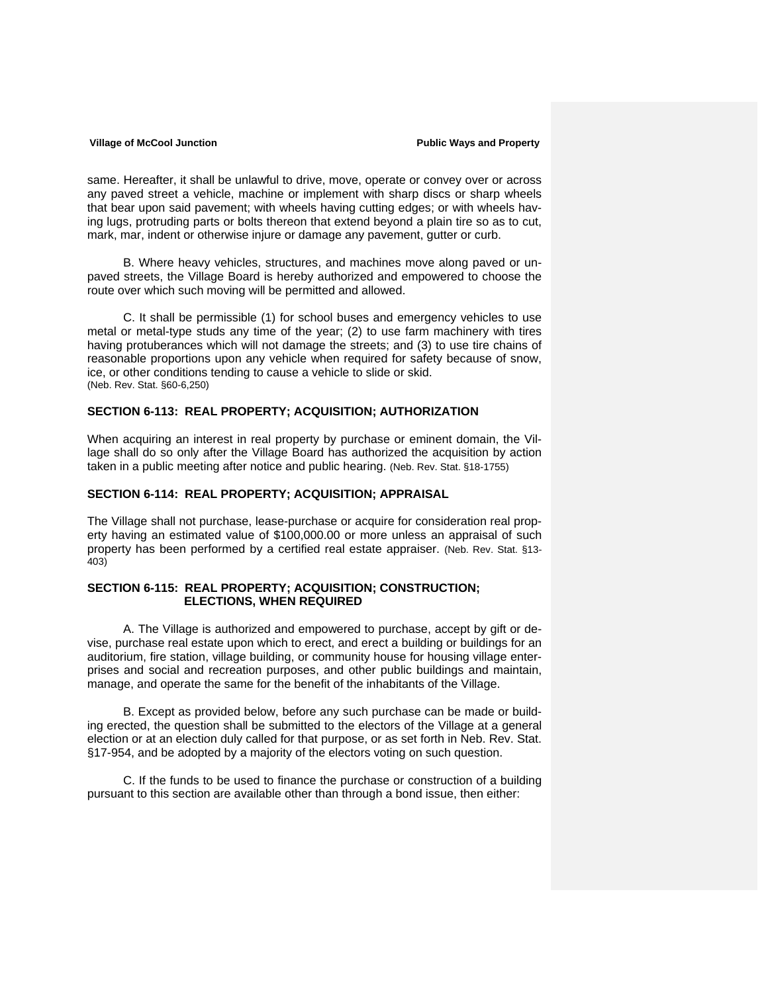same. Hereafter, it shall be unlawful to drive, move, operate or convey over or across any paved street a vehicle, machine or implement with sharp discs or sharp wheels that bear upon said pavement; with wheels having cutting edges; or with wheels having lugs, protruding parts or bolts thereon that extend beyond a plain tire so as to cut, mark, mar, indent or otherwise injure or damage any pavement, gutter or curb.

B. Where heavy vehicles, structures, and machines move along paved or unpaved streets, the Village Board is hereby authorized and empowered to choose the route over which such moving will be permitted and allowed.

C. It shall be permissible (1) for school buses and emergency vehicles to use metal or metal-type studs any time of the year; (2) to use farm machinery with tires having protuberances which will not damage the streets; and (3) to use tire chains of reasonable proportions upon any vehicle when required for safety because of snow, ice, or other conditions tending to cause a vehicle to slide or skid. (Neb. Rev. Stat. §60-6,250)

## **SECTION 6-113: REAL PROPERTY; ACQUISITION; AUTHORIZATION**

When acquiring an interest in real property by purchase or eminent domain, the Village shall do so only after the Village Board has authorized the acquisition by action taken in a public meeting after notice and public hearing. (Neb. Rev. Stat. §18-1755)

### **SECTION 6-114: REAL PROPERTY; ACQUISITION; APPRAISAL**

The Village shall not purchase, lease-purchase or acquire for consideration real property having an estimated value of \$100,000.00 or more unless an appraisal of such property has been performed by a certified real estate appraiser. (Neb. Rev. Stat. §13- 403)

## **SECTION 6-115: REAL PROPERTY; ACQUISITION; CONSTRUCTION; ELECTIONS, WHEN REQUIRED**

A. The Village is authorized and empowered to purchase, accept by gift or devise, purchase real estate upon which to erect, and erect a building or buildings for an auditorium, fire station, village building, or community house for housing village enterprises and social and recreation purposes, and other public buildings and maintain, manage, and operate the same for the benefit of the inhabitants of the Village.

B. Except as provided below, before any such purchase can be made or building erected, the question shall be submitted to the electors of the Village at a general election or at an election duly called for that purpose, or as set forth in Neb. Rev. Stat. §17-954, and be adopted by a majority of the electors voting on such question.

C. If the funds to be used to finance the purchase or construction of a building pursuant to this section are available other than through a bond issue, then either: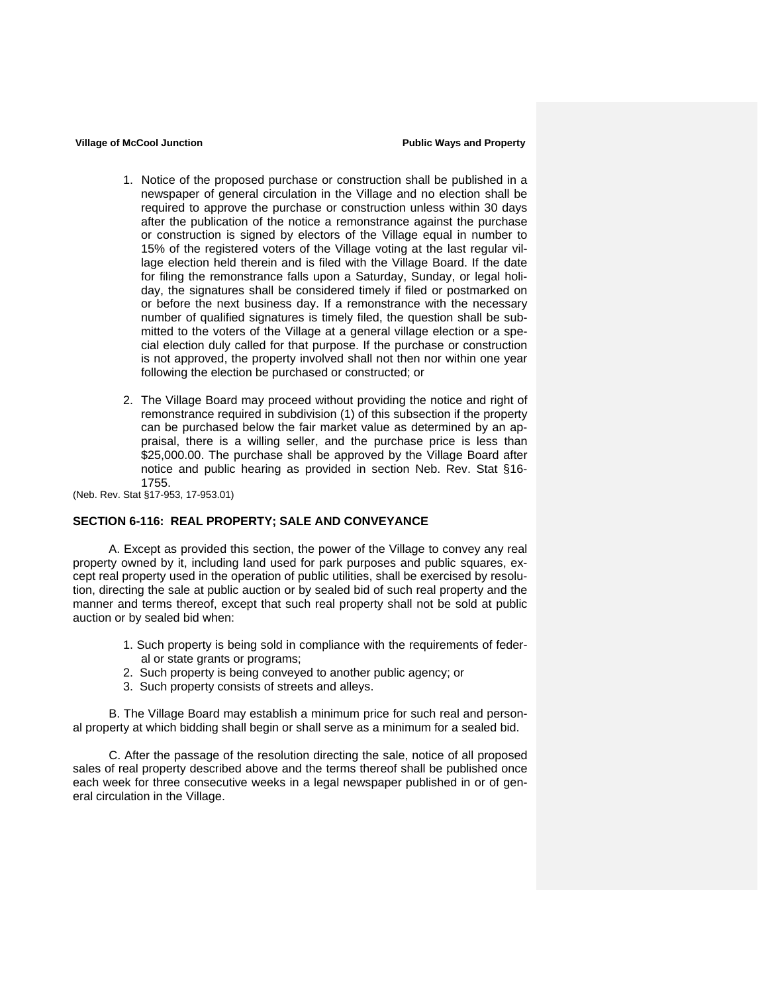- 1. Notice of the proposed purchase or construction shall be published in a newspaper of general circulation in the Village and no election shall be required to approve the purchase or construction unless within 30 days after the publication of the notice a remonstrance against the purchase or construction is signed by electors of the Village equal in number to 15% of the registered voters of the Village voting at the last regular village election held therein and is filed with the Village Board. If the date for filing the remonstrance falls upon a Saturday, Sunday, or legal holiday, the signatures shall be considered timely if filed or postmarked on or before the next business day. If a remonstrance with the necessary number of qualified signatures is timely filed, the question shall be submitted to the voters of the Village at a general village election or a special election duly called for that purpose. If the purchase or construction is not approved, the property involved shall not then nor within one year following the election be purchased or constructed; or
- 2. The Village Board may proceed without providing the notice and right of remonstrance required in subdivision (1) of this subsection if the property can be purchased below the fair market value as determined by an appraisal, there is a willing seller, and the purchase price is less than \$25,000.00. The purchase shall be approved by the Village Board after notice and public hearing as provided in section Neb. Rev. Stat §16- 1755.

(Neb. Rev. Stat §17-953, 17-953.01)

## **SECTION 6-116: REAL PROPERTY; SALE AND CONVEYANCE**

A. Except as provided this section, the power of the Village to convey any real property owned by it, including land used for park purposes and public squares, except real property used in the operation of public utilities, shall be exercised by resolution, directing the sale at public auction or by sealed bid of such real property and the manner and terms thereof, except that such real property shall not be sold at public auction or by sealed bid when:

- 1. Such property is being sold in compliance with the requirements of federal or state grants or programs;
- 2. Such property is being conveyed to another public agency; or
- 3. Such property consists of streets and alleys.

B. The Village Board may establish a minimum price for such real and personal property at which bidding shall begin or shall serve as a minimum for a sealed bid.

C. After the passage of the resolution directing the sale, notice of all proposed sales of real property described above and the terms thereof shall be published once each week for three consecutive weeks in a legal newspaper published in or of general circulation in the Village.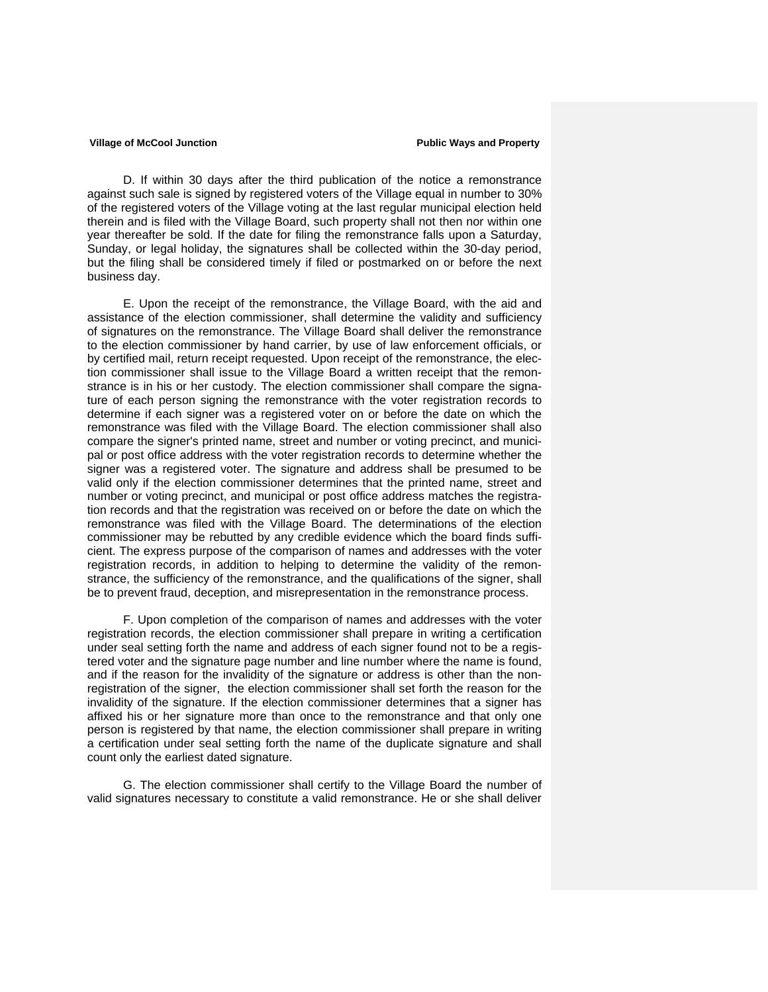D. If within 30 days after the third publication of the notice a remonstrance against such sale is signed by registered voters of the Village equal in number to 30% of the registered voters of the Village voting at the last regular municipal election held therein and is filed with the Village Board, such property shall not then nor within one year thereafter be sold. If the date for filing the remonstrance falls upon a Saturday, Sunday, or legal holiday, the signatures shall be collected within the 30-day period, but the filing shall be considered timely if filed or postmarked on or before the next business day.

E. Upon the receipt of the remonstrance, the Village Board, with the aid and assistance of the election commissioner, shall determine the validity and sufficiency of signatures on the remonstrance. The Village Board shall deliver the remonstrance to the election commissioner by hand carrier, by use of law enforcement officials, or by certified mail, return receipt requested. Upon receipt of the remonstrance, the election commissioner shall issue to the Village Board a written receipt that the remonstrance is in his or her custody. The election commissioner shall compare the signature of each person signing the remonstrance with the voter registration records to determine if each signer was a registered voter on or before the date on which the remonstrance was filed with the Village Board. The election commissioner shall also compare the signer's printed name, street and number or voting precinct, and municipal or post office address with the voter registration records to determine whether the signer was a registered voter. The signature and address shall be presumed to be valid only if the election commissioner determines that the printed name, street and number or voting precinct, and municipal or post office address matches the registration records and that the registration was received on or before the date on which the remonstrance was filed with the Village Board. The determinations of the election commissioner may be rebutted by any credible evidence which the board finds sufficient. The express purpose of the comparison of names and addresses with the voter registration records, in addition to helping to determine the validity of the remonstrance, the sufficiency of the remonstrance, and the qualifications of the signer, shall be to prevent fraud, deception, and misrepresentation in the remonstrance process.

F. Upon completion of the comparison of names and addresses with the voter registration records, the election commissioner shall prepare in writing a certification under seal setting forth the name and address of each signer found not to be a registered voter and the signature page number and line number where the name is found, and if the reason for the invalidity of the signature or address is other than the nonregistration of the signer, the election commissioner shall set forth the reason for the invalidity of the signature. If the election commissioner determines that a signer has affixed his or her signature more than once to the remonstrance and that only one person is registered by that name, the election commissioner shall prepare in writing a certification under seal setting forth the name of the duplicate signature and shall count only the earliest dated signature.

G. The election commissioner shall certify to the Village Board the number of valid signatures necessary to constitute a valid remonstrance. He or she shall deliver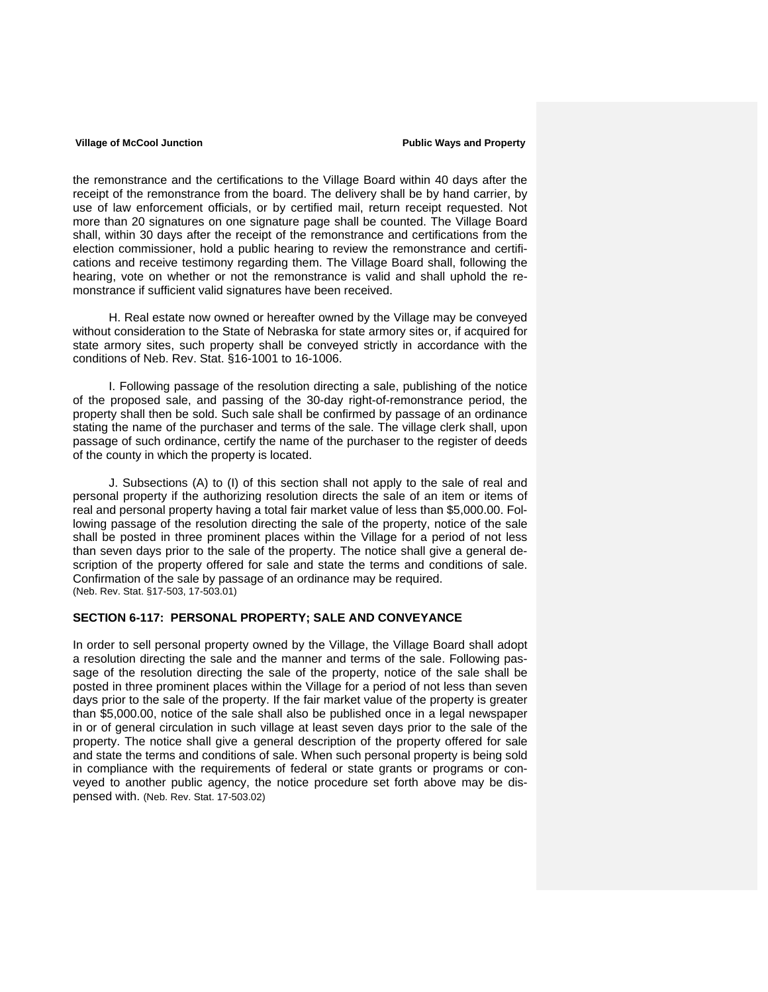the remonstrance and the certifications to the Village Board within 40 days after the receipt of the remonstrance from the board. The delivery shall be by hand carrier, by use of law enforcement officials, or by certified mail, return receipt requested. Not more than 20 signatures on one signature page shall be counted. The Village Board shall, within 30 days after the receipt of the remonstrance and certifications from the election commissioner, hold a public hearing to review the remonstrance and certifications and receive testimony regarding them. The Village Board shall, following the hearing, vote on whether or not the remonstrance is valid and shall uphold the remonstrance if sufficient valid signatures have been received.

H. Real estate now owned or hereafter owned by the Village may be conveyed without consideration to the State of Nebraska for state armory sites or, if acquired for state armory sites, such property shall be conveyed strictly in accordance with the conditions of Neb. Rev. Stat. §16-1001 to 16-1006.

I. Following passage of the resolution directing a sale, publishing of the notice of the proposed sale, and passing of the 30-day right-of-remonstrance period, the property shall then be sold. Such sale shall be confirmed by passage of an ordinance stating the name of the purchaser and terms of the sale. The village clerk shall, upon passage of such ordinance, certify the name of the purchaser to the register of deeds of the county in which the property is located.

J. Subsections (A) to (I) of this section shall not apply to the sale of real and personal property if the authorizing resolution directs the sale of an item or items of real and personal property having a total fair market value of less than \$5,000.00. Following passage of the resolution directing the sale of the property, notice of the sale shall be posted in three prominent places within the Village for a period of not less than seven days prior to the sale of the property. The notice shall give a general description of the property offered for sale and state the terms and conditions of sale. Confirmation of the sale by passage of an ordinance may be required. (Neb. Rev. Stat. §17-503, 17-503.01)

### **SECTION 6-117: PERSONAL PROPERTY; SALE AND CONVEYANCE**

In order to sell personal property owned by the Village, the Village Board shall adopt a resolution directing the sale and the manner and terms of the sale. Following passage of the resolution directing the sale of the property, notice of the sale shall be posted in three prominent places within the Village for a period of not less than seven days prior to the sale of the property. If the fair market value of the property is greater than \$5,000.00, notice of the sale shall also be published once in a legal newspaper in or of general circulation in such village at least seven days prior to the sale of the property. The notice shall give a general description of the property offered for sale and state the terms and conditions of sale. When such personal property is being sold in compliance with the requirements of federal or state grants or programs or conveyed to another public agency, the notice procedure set forth above may be dispensed with. (Neb. Rev. Stat. 17-503.02)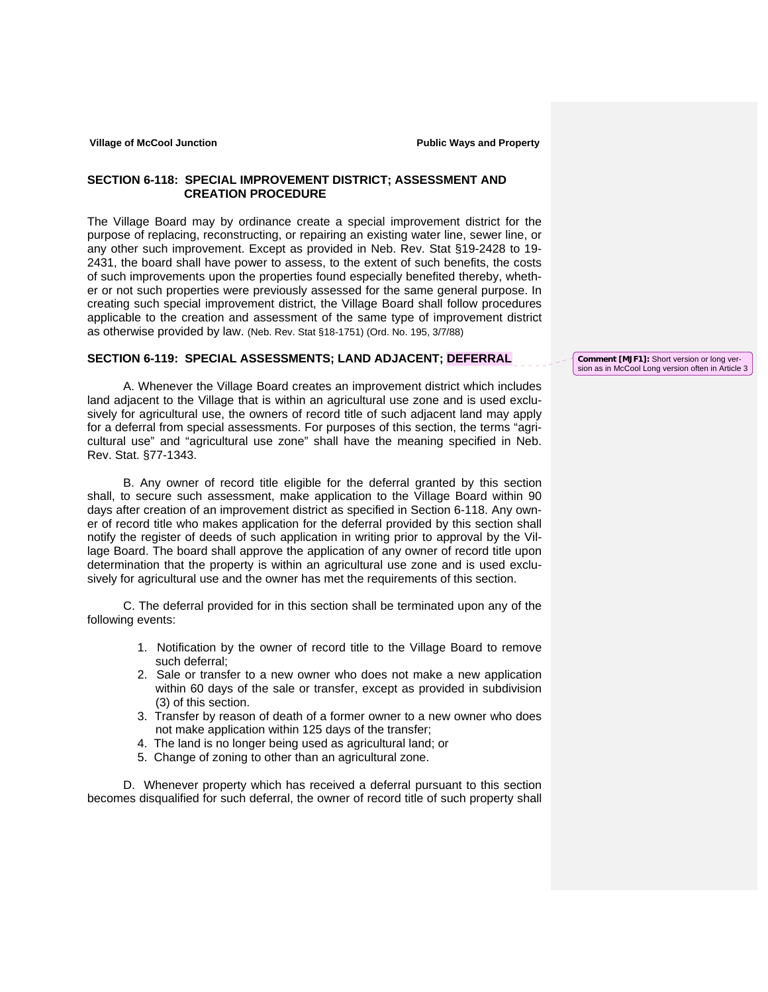## **SECTION 6-118: SPECIAL IMPROVEMENT DISTRICT; ASSESSMENT AND CREATION PROCEDURE**

The Village Board may by ordinance create a special improvement district for the purpose of replacing, reconstructing, or repairing an existing water line, sewer line, or any other such improvement. Except as provided in Neb. Rev. Stat §19-2428 to 19- 2431, the board shall have power to assess, to the extent of such benefits, the costs of such improvements upon the properties found especially benefited thereby, whether or not such properties were previously assessed for the same general purpose. In creating such special improvement district, the Village Board shall follow procedures applicable to the creation and assessment of the same type of improvement district as otherwise provided by law. (Neb. Rev. Stat §18-1751) (Ord. No. 195, 3/7/88)

## **SECTION 6-119: SPECIAL ASSESSMENTS; LAND ADJACENT; DEFERRAL**

A. Whenever the Village Board creates an improvement district which includes land adjacent to the Village that is within an agricultural use zone and is used exclusively for agricultural use, the owners of record title of such adjacent land may apply for a deferral from special assessments. For purposes of this section, the terms "agricultural use" and "agricultural use zone" shall have the meaning specified in Neb. Rev. Stat. §77-1343.

B. Any owner of record title eligible for the deferral granted by this section shall, to secure such assessment, make application to the Village Board within 90 days after creation of an improvement district as specified in Section 6-118. Any owner of record title who makes application for the deferral provided by this section shall notify the register of deeds of such application in writing prior to approval by the Village Board. The board shall approve the application of any owner of record title upon determination that the property is within an agricultural use zone and is used exclusively for agricultural use and the owner has met the requirements of this section.

C. The deferral provided for in this section shall be terminated upon any of the following events:

- 1. Notification by the owner of record title to the Village Board to remove such deferral;
- 2. Sale or transfer to a new owner who does not make a new application within 60 days of the sale or transfer, except as provided in subdivision (3) of this section.
- 3. Transfer by reason of death of a former owner to a new owner who does not make application within 125 days of the transfer;
- 4. The land is no longer being used as agricultural land; or
- 5. Change of zoning to other than an agricultural zone.

D. Whenever property which has received a deferral pursuant to this section becomes disqualified for such deferral, the owner of record title of such property shall **Comment [MJF1]:** Short version or long version as in McCool Long version often in Article 3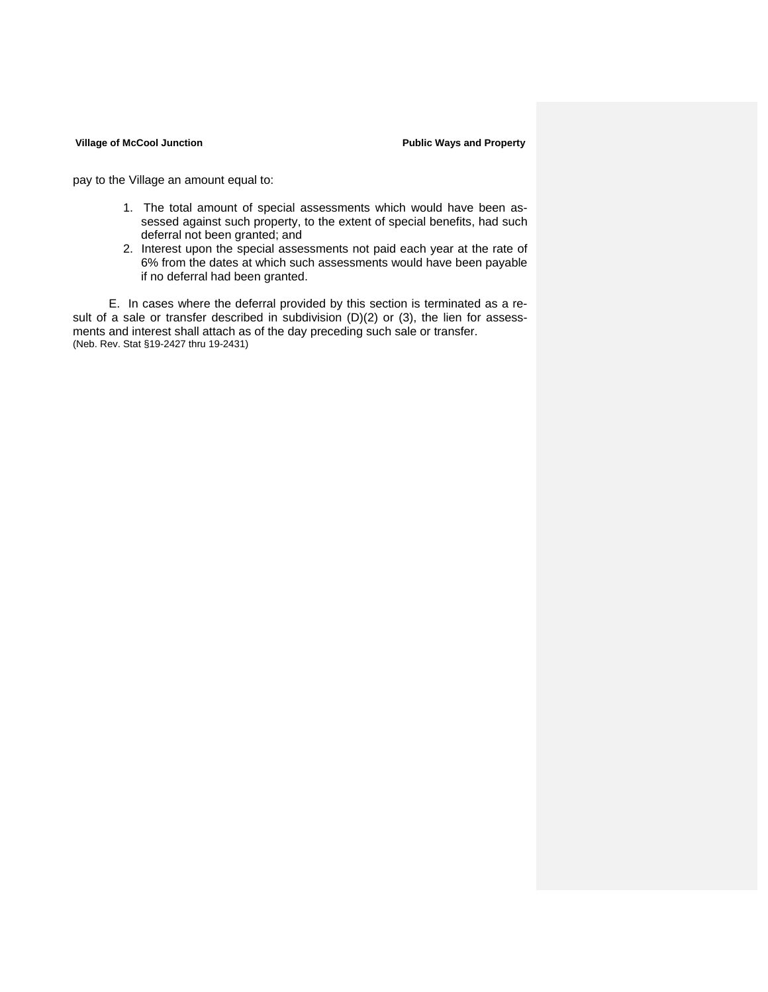pay to the Village an amount equal to:

- 1. The total amount of special assessments which would have been assessed against such property, to the extent of special benefits, had such deferral not been granted; and
- 2. Interest upon the special assessments not paid each year at the rate of 6% from the dates at which such assessments would have been payable if no deferral had been granted.

E. In cases where the deferral provided by this section is terminated as a result of a sale or transfer described in subdivision (D)(2) or (3), the lien for assessments and interest shall attach as of the day preceding such sale or transfer. (Neb. Rev. Stat §19-2427 thru 19-2431)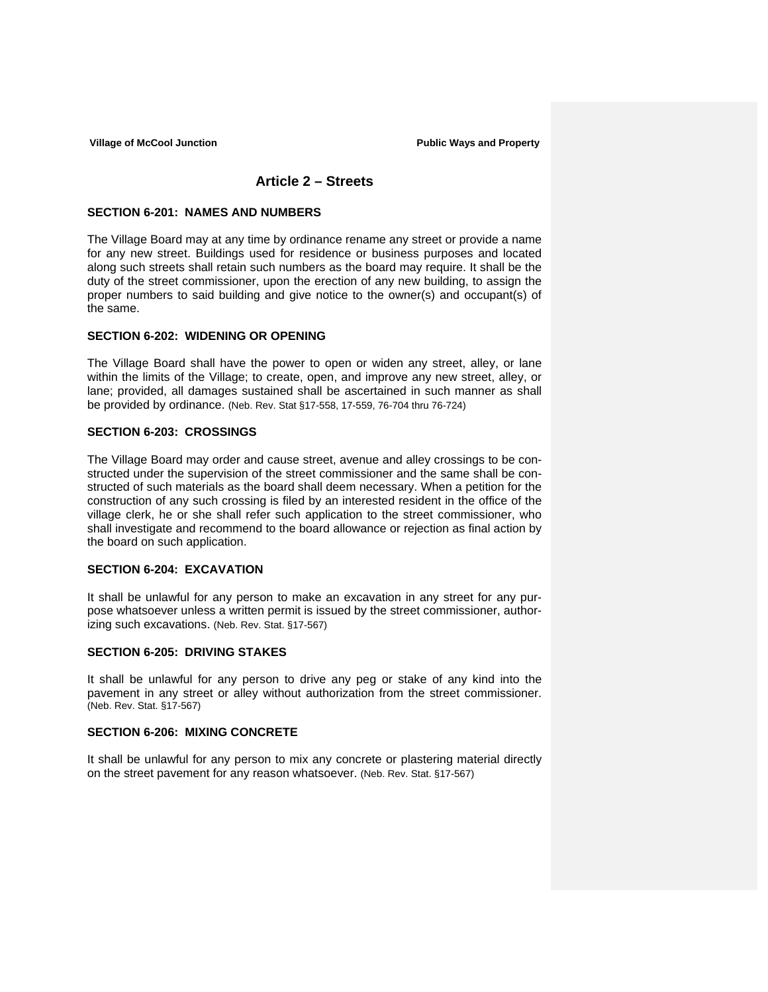## **Article 2 – Streets**

### **SECTION 6-201: NAMES AND NUMBERS**

The Village Board may at any time by ordinance rename any street or provide a name for any new street. Buildings used for residence or business purposes and located along such streets shall retain such numbers as the board may require. It shall be the duty of the street commissioner, upon the erection of any new building, to assign the proper numbers to said building and give notice to the owner(s) and occupant(s) of the same.

## **SECTION 6-202: WIDENING OR OPENING**

The Village Board shall have the power to open or widen any street, alley, or lane within the limits of the Village; to create, open, and improve any new street, alley, or lane; provided, all damages sustained shall be ascertained in such manner as shall be provided by ordinance. (Neb. Rev. Stat §17-558, 17-559, 76-704 thru 76-724)

## **SECTION 6-203: CROSSINGS**

The Village Board may order and cause street, avenue and alley crossings to be constructed under the supervision of the street commissioner and the same shall be constructed of such materials as the board shall deem necessary. When a petition for the construction of any such crossing is filed by an interested resident in the office of the village clerk, he or she shall refer such application to the street commissioner, who shall investigate and recommend to the board allowance or rejection as final action by the board on such application.

### **SECTION 6-204: EXCAVATION**

It shall be unlawful for any person to make an excavation in any street for any purpose whatsoever unless a written permit is issued by the street commissioner, authorizing such excavations. (Neb. Rev. Stat. §17-567)

### **SECTION 6-205: DRIVING STAKES**

It shall be unlawful for any person to drive any peg or stake of any kind into the pavement in any street or alley without authorization from the street commissioner. (Neb. Rev. Stat. §17-567)

## **SECTION 6-206: MIXING CONCRETE**

It shall be unlawful for any person to mix any concrete or plastering material directly on the street pavement for any reason whatsoever. (Neb. Rev. Stat. §17-567)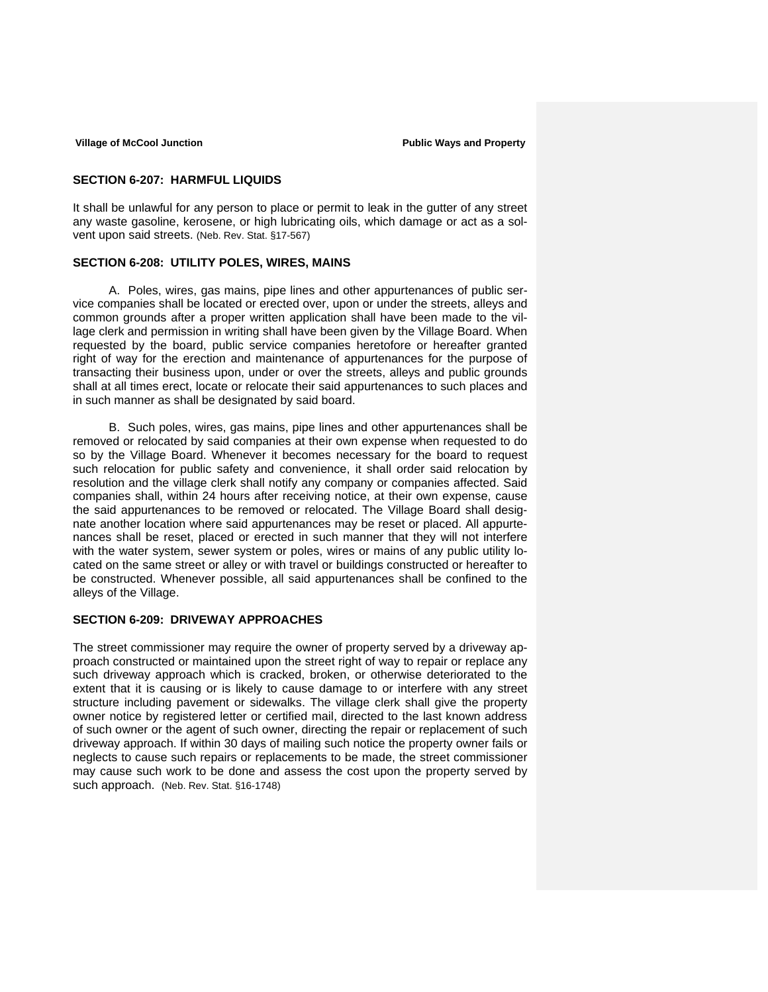## **SECTION 6-207: HARMFUL LIQUIDS**

It shall be unlawful for any person to place or permit to leak in the gutter of any street any waste gasoline, kerosene, or high lubricating oils, which damage or act as a solvent upon said streets. (Neb. Rev. Stat. §17-567)

## **SECTION 6-208: UTILITY POLES, WIRES, MAINS**

A. Poles, wires, gas mains, pipe lines and other appurtenances of public service companies shall be located or erected over, upon or under the streets, alleys and common grounds after a proper written application shall have been made to the village clerk and permission in writing shall have been given by the Village Board. When requested by the board, public service companies heretofore or hereafter granted right of way for the erection and maintenance of appurtenances for the purpose of transacting their business upon, under or over the streets, alleys and public grounds shall at all times erect, locate or relocate their said appurtenances to such places and in such manner as shall be designated by said board.

B. Such poles, wires, gas mains, pipe lines and other appurtenances shall be removed or relocated by said companies at their own expense when requested to do so by the Village Board. Whenever it becomes necessary for the board to request such relocation for public safety and convenience, it shall order said relocation by resolution and the village clerk shall notify any company or companies affected. Said companies shall, within 24 hours after receiving notice, at their own expense, cause the said appurtenances to be removed or relocated. The Village Board shall designate another location where said appurtenances may be reset or placed. All appurtenances shall be reset, placed or erected in such manner that they will not interfere with the water system, sewer system or poles, wires or mains of any public utility located on the same street or alley or with travel or buildings constructed or hereafter to be constructed. Whenever possible, all said appurtenances shall be confined to the alleys of the Village.

## **SECTION 6-209: DRIVEWAY APPROACHES**

The street commissioner may require the owner of property served by a driveway approach constructed or maintained upon the street right of way to repair or replace any such driveway approach which is cracked, broken, or otherwise deteriorated to the extent that it is causing or is likely to cause damage to or interfere with any street structure including pavement or sidewalks. The village clerk shall give the property owner notice by registered letter or certified mail, directed to the last known address of such owner or the agent of such owner, directing the repair or replacement of such driveway approach. If within 30 days of mailing such notice the property owner fails or neglects to cause such repairs or replacements to be made, the street commissioner may cause such work to be done and assess the cost upon the property served by such approach. (Neb. Rev. Stat. §16-1748)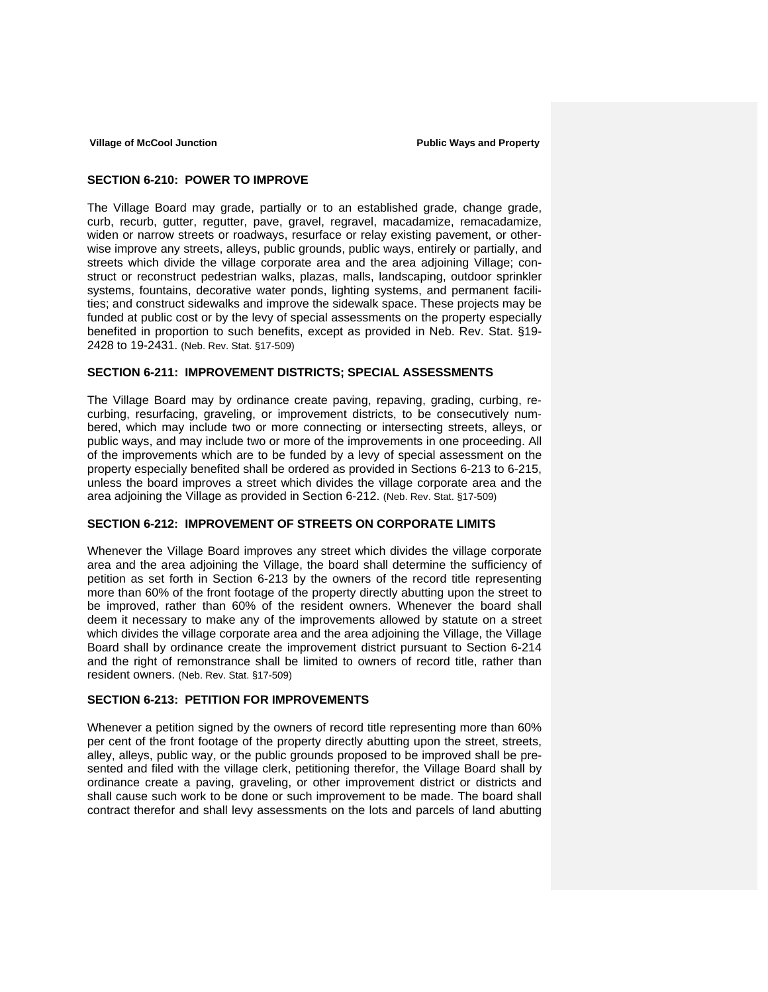## **SECTION 6-210: POWER TO IMPROVE**

The Village Board may grade, partially or to an established grade, change grade, curb, recurb, gutter, regutter, pave, gravel, regravel, macadamize, remacadamize, widen or narrow streets or roadways, resurface or relay existing pavement, or otherwise improve any streets, alleys, public grounds, public ways, entirely or partially, and streets which divide the village corporate area and the area adjoining Village; construct or reconstruct pedestrian walks, plazas, malls, landscaping, outdoor sprinkler systems, fountains, decorative water ponds, lighting systems, and permanent facilities; and construct sidewalks and improve the sidewalk space. These projects may be funded at public cost or by the levy of special assessments on the property especially benefited in proportion to such benefits, except as provided in Neb. Rev. Stat. §19- 2428 to 19-2431. (Neb. Rev. Stat. §17-509)

## **SECTION 6-211: IMPROVEMENT DISTRICTS; SPECIAL ASSESSMENTS**

The Village Board may by ordinance create paving, repaving, grading, curbing, recurbing, resurfacing, graveling, or improvement districts, to be consecutively numbered, which may include two or more connecting or intersecting streets, alleys, or public ways, and may include two or more of the improvements in one proceeding. All of the improvements which are to be funded by a levy of special assessment on the property especially benefited shall be ordered as provided in Sections 6-213 to 6-215, unless the board improves a street which divides the village corporate area and the area adjoining the Village as provided in Section 6-212. (Neb. Rev. Stat. §17-509)

## **SECTION 6-212: IMPROVEMENT OF STREETS ON CORPORATE LIMITS**

Whenever the Village Board improves any street which divides the village corporate area and the area adjoining the Village, the board shall determine the sufficiency of petition as set forth in Section 6-213 by the owners of the record title representing more than 60% of the front footage of the property directly abutting upon the street to be improved, rather than 60% of the resident owners. Whenever the board shall deem it necessary to make any of the improvements allowed by statute on a street which divides the village corporate area and the area adjoining the Village, the Village Board shall by ordinance create the improvement district pursuant to Section 6-214 and the right of remonstrance shall be limited to owners of record title, rather than resident owners. (Neb. Rev. Stat. §17-509)

### **SECTION 6-213: PETITION FOR IMPROVEMENTS**

Whenever a petition signed by the owners of record title representing more than 60% per cent of the front footage of the property directly abutting upon the street, streets, alley, alleys, public way, or the public grounds proposed to be improved shall be presented and filed with the village clerk, petitioning therefor, the Village Board shall by ordinance create a paving, graveling, or other improvement district or districts and shall cause such work to be done or such improvement to be made. The board shall contract therefor and shall levy assessments on the lots and parcels of land abutting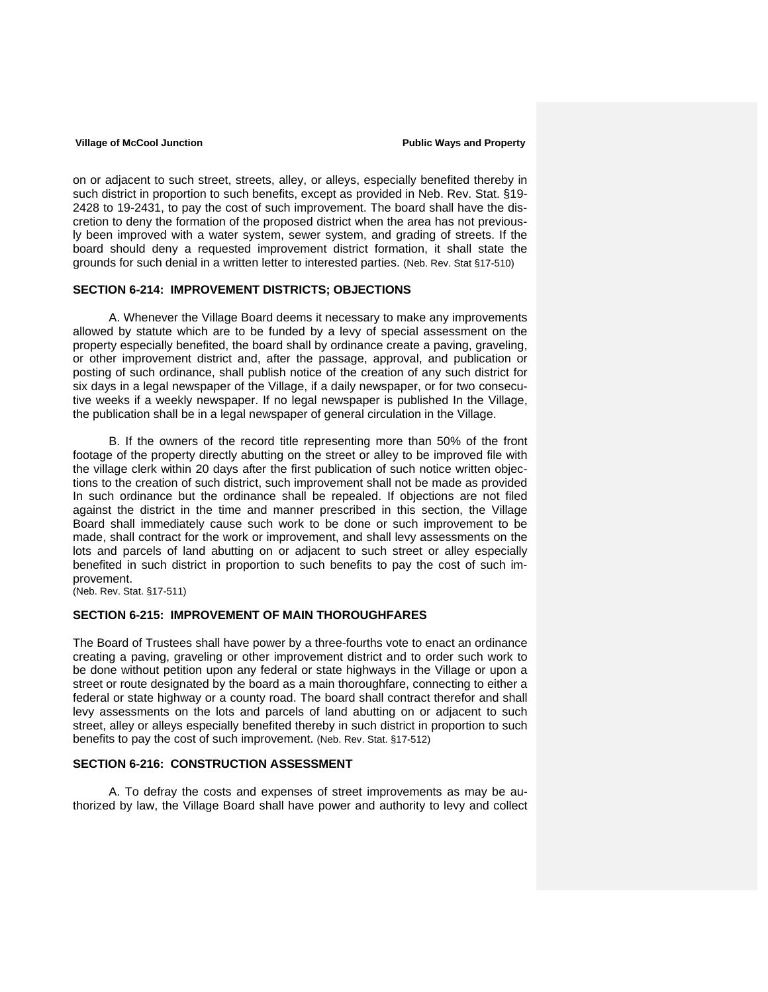on or adjacent to such street, streets, alley, or alleys, especially benefited thereby in such district in proportion to such benefits, except as provided in Neb. Rev. Stat. §19- 2428 to 19-2431, to pay the cost of such improvement. The board shall have the discretion to deny the formation of the proposed district when the area has not previously been improved with a water system, sewer system, and grading of streets. If the board should deny a requested improvement district formation, it shall state the grounds for such denial in a written letter to interested parties. (Neb. Rev. Stat §17-510)

### **SECTION 6-214: IMPROVEMENT DISTRICTS; OBJECTIONS**

 A. Whenever the Village Board deems it necessary to make any improvements allowed by statute which are to be funded by a levy of special assessment on the property especially benefited, the board shall by ordinance create a paving, graveling, or other improvement district and, after the passage, approval, and publication or posting of such ordinance, shall publish notice of the creation of any such district for six days in a legal newspaper of the Village, if a daily newspaper, or for two consecutive weeks if a weekly newspaper. If no legal newspaper is published In the Village, the publication shall be in a legal newspaper of general circulation in the Village.

 B. If the owners of the record title representing more than 50% of the front footage of the property directly abutting on the street or alley to be improved file with the village clerk within 20 days after the first publication of such notice written objections to the creation of such district, such improvement shall not be made as provided In such ordinance but the ordinance shall be repealed. If objections are not filed against the district in the time and manner prescribed in this section, the Village Board shall immediately cause such work to be done or such improvement to be made, shall contract for the work or improvement, and shall levy assessments on the lots and parcels of land abutting on or adjacent to such street or alley especially benefited in such district in proportion to such benefits to pay the cost of such improvement.

(Neb. Rev. Stat. §17-511)

## **SECTION 6-215: IMPROVEMENT OF MAIN THOROUGHFARES**

The Board of Trustees shall have power by a three-fourths vote to enact an ordinance creating a paving, graveling or other improvement district and to order such work to be done without petition upon any federal or state highways in the Village or upon a street or route designated by the board as a main thoroughfare, connecting to either a federal or state highway or a county road. The board shall contract therefor and shall levy assessments on the lots and parcels of land abutting on or adjacent to such street, alley or alleys especially benefited thereby in such district in proportion to such benefits to pay the cost of such improvement. (Neb. Rev. Stat. §17-512)

## **SECTION 6-216: CONSTRUCTION ASSESSMENT**

 A. To defray the costs and expenses of street improvements as may be authorized by law, the Village Board shall have power and authority to levy and collect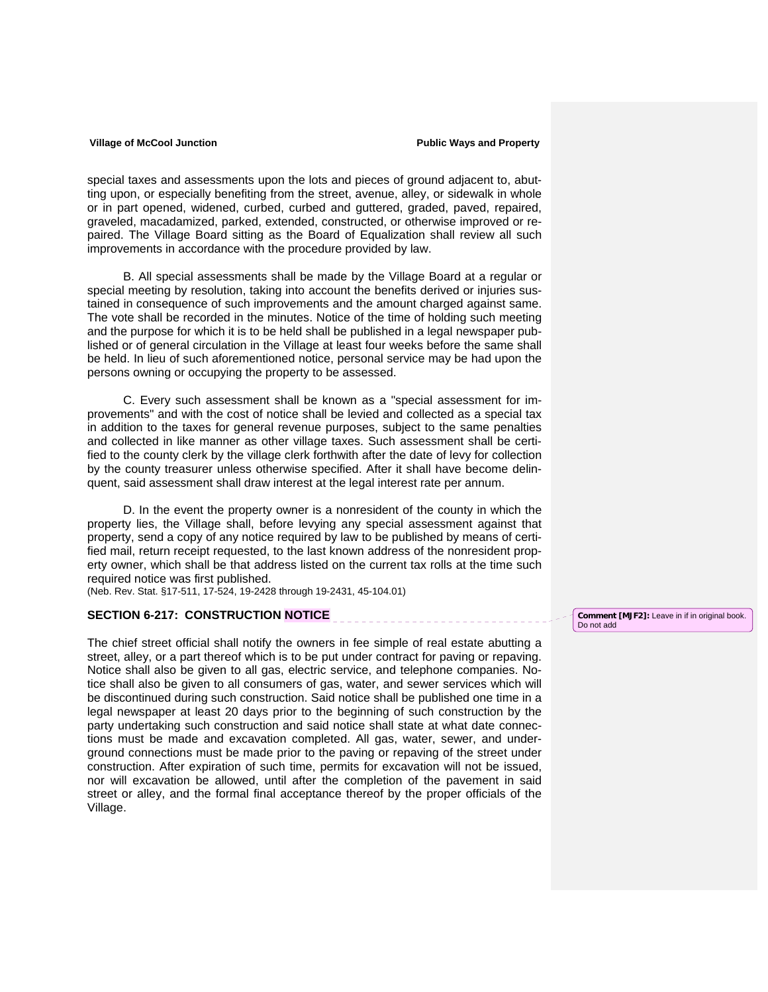special taxes and assessments upon the lots and pieces of ground adjacent to, abutting upon, or especially benefiting from the street, avenue, alley, or sidewalk in whole or in part opened, widened, curbed, curbed and guttered, graded, paved, repaired, graveled, macadamized, parked, extended, constructed, or otherwise improved or repaired. The Village Board sitting as the Board of Equalization shall review all such improvements in accordance with the procedure provided by law.

 B. All special assessments shall be made by the Village Board at a regular or special meeting by resolution, taking into account the benefits derived or injuries sustained in consequence of such improvements and the amount charged against same. The vote shall be recorded in the minutes. Notice of the time of holding such meeting and the purpose for which it is to be held shall be published in a legal newspaper published or of general circulation in the Village at least four weeks before the same shall be held. In lieu of such aforementioned notice, personal service may be had upon the persons owning or occupying the property to be assessed.

 C. Every such assessment shall be known as a "special assessment for improvements" and with the cost of notice shall be levied and collected as a special tax in addition to the taxes for general revenue purposes, subject to the same penalties and collected in like manner as other village taxes. Such assessment shall be certified to the county clerk by the village clerk forthwith after the date of levy for collection by the county treasurer unless otherwise specified. After it shall have become delinquent, said assessment shall draw interest at the legal interest rate per annum.

 D. In the event the property owner is a nonresident of the county in which the property lies, the Village shall, before levying any special assessment against that property, send a copy of any notice required by law to be published by means of certified mail, return receipt requested, to the last known address of the nonresident property owner, which shall be that address listed on the current tax rolls at the time such required notice was first published.

(Neb. Rev. Stat. §17-511, 17-524, 19-2428 through 19-2431, 45-104.01)

### **SECTION 6-217: CONSTRUCTION NOTICE**

The chief street official shall notify the owners in fee simple of real estate abutting a street, alley, or a part thereof which is to be put under contract for paving or repaving. Notice shall also be given to all gas, electric service, and telephone companies. Notice shall also be given to all consumers of gas, water, and sewer services which will be discontinued during such construction. Said notice shall be published one time in a legal newspaper at least 20 days prior to the beginning of such construction by the party undertaking such construction and said notice shall state at what date connections must be made and excavation completed. All gas, water, sewer, and underground connections must be made prior to the paving or repaving of the street under construction. After expiration of such time, permits for excavation will not be issued, nor will excavation be allowed, until after the completion of the pavement in said street or alley, and the formal final acceptance thereof by the proper officials of the Village.

**Comment [MJF2]:** Leave in if in original book. Do not add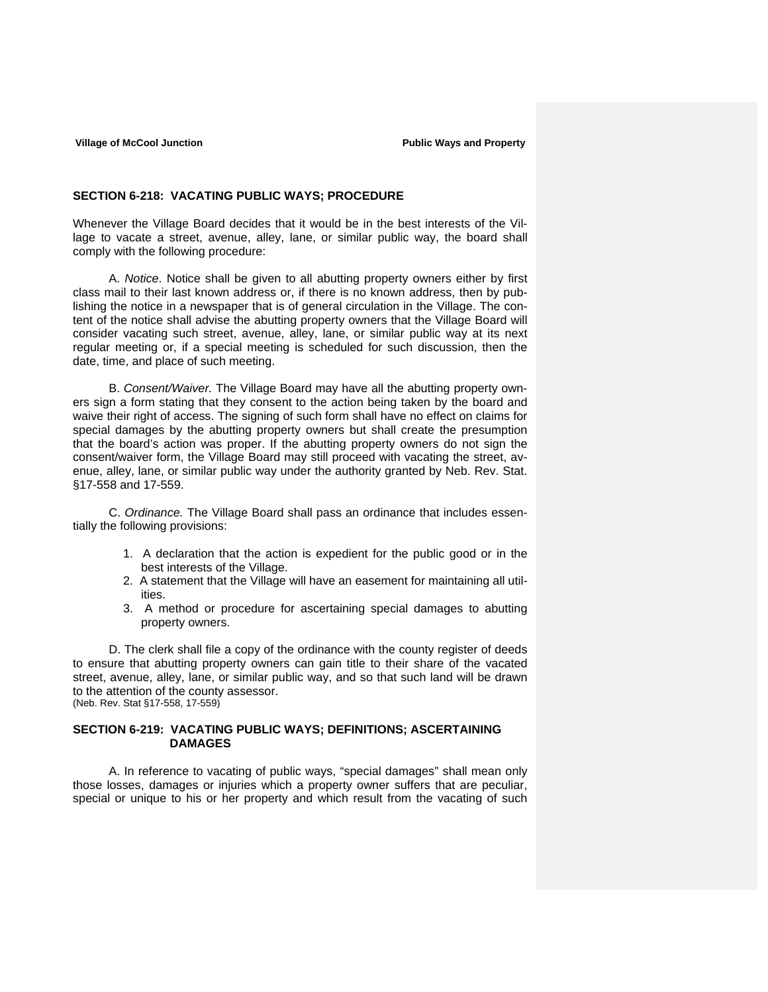### **SECTION 6-218: VACATING PUBLIC WAYS; PROCEDURE**

Whenever the Village Board decides that it would be in the best interests of the Village to vacate a street, avenue, alley, lane, or similar public way, the board shall comply with the following procedure:

 A. *Notice*. Notice shall be given to all abutting property owners either by first class mail to their last known address or, if there is no known address, then by publishing the notice in a newspaper that is of general circulation in the Village. The content of the notice shall advise the abutting property owners that the Village Board will consider vacating such street, avenue, alley, lane, or similar public way at its next regular meeting or, if a special meeting is scheduled for such discussion, then the date, time, and place of such meeting.

 B. *Consent/Waiver.* The Village Board may have all the abutting property owners sign a form stating that they consent to the action being taken by the board and waive their right of access. The signing of such form shall have no effect on claims for special damages by the abutting property owners but shall create the presumption that the board's action was proper. If the abutting property owners do not sign the consent/waiver form, the Village Board may still proceed with vacating the street, avenue, alley, lane, or similar public way under the authority granted by Neb. Rev. Stat. §17-558 and 17-559.

 C. *Ordinance.* The Village Board shall pass an ordinance that includes essentially the following provisions:

- 1. A declaration that the action is expedient for the public good or in the best interests of the Village.
- 2. A statement that the Village will have an easement for maintaining all utilities.
- 3. A method or procedure for ascertaining special damages to abutting property owners.

D. The clerk shall file a copy of the ordinance with the county register of deeds to ensure that abutting property owners can gain title to their share of the vacated street, avenue, alley, lane, or similar public way, and so that such land will be drawn to the attention of the county assessor. (Neb. Rev. Stat §17-558, 17-559)

**SECTION 6-219: VACATING PUBLIC WAYS; DEFINITIONS; ASCERTAINING DAMAGES** 

A. In reference to vacating of public ways, "special damages" shall mean only those losses, damages or injuries which a property owner suffers that are peculiar, special or unique to his or her property and which result from the vacating of such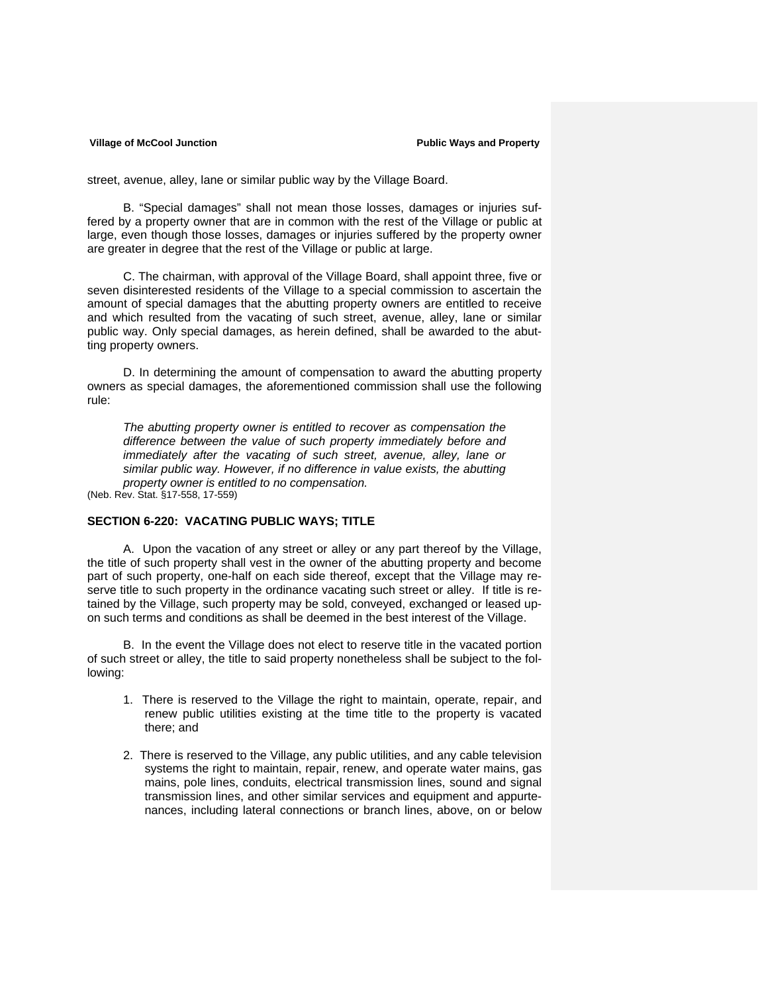street, avenue, alley, lane or similar public way by the Village Board.

B. "Special damages" shall not mean those losses, damages or injuries suffered by a property owner that are in common with the rest of the Village or public at large, even though those losses, damages or injuries suffered by the property owner are greater in degree that the rest of the Village or public at large.

C. The chairman, with approval of the Village Board, shall appoint three, five or seven disinterested residents of the Village to a special commission to ascertain the amount of special damages that the abutting property owners are entitled to receive and which resulted from the vacating of such street, avenue, alley, lane or similar public way. Only special damages, as herein defined, shall be awarded to the abutting property owners.

D. In determining the amount of compensation to award the abutting property owners as special damages, the aforementioned commission shall use the following rule:

*The abutting property owner is entitled to recover as compensation the difference between the value of such property immediately before and immediately after the vacating of such street, avenue, alley, lane or similar public way. However, if no difference in value exists, the abutting property owner is entitled to no compensation.* 

(Neb. Rev. Stat. §17-558, 17-559)

## **SECTION 6-220: VACATING PUBLIC WAYS; TITLE**

A. Upon the vacation of any street or alley or any part thereof by the Village, the title of such property shall vest in the owner of the abutting property and become part of such property, one-half on each side thereof, except that the Village may reserve title to such property in the ordinance vacating such street or alley. If title is retained by the Village, such property may be sold, conveyed, exchanged or leased upon such terms and conditions as shall be deemed in the best interest of the Village.

 B. In the event the Village does not elect to reserve title in the vacated portion of such street or alley, the title to said property nonetheless shall be subject to the following:

- 1. There is reserved to the Village the right to maintain, operate, repair, and renew public utilities existing at the time title to the property is vacated there; and
- 2. There is reserved to the Village, any public utilities, and any cable television systems the right to maintain, repair, renew, and operate water mains, gas mains, pole lines, conduits, electrical transmission lines, sound and signal transmission lines, and other similar services and equipment and appurtenances, including lateral connections or branch lines, above, on or below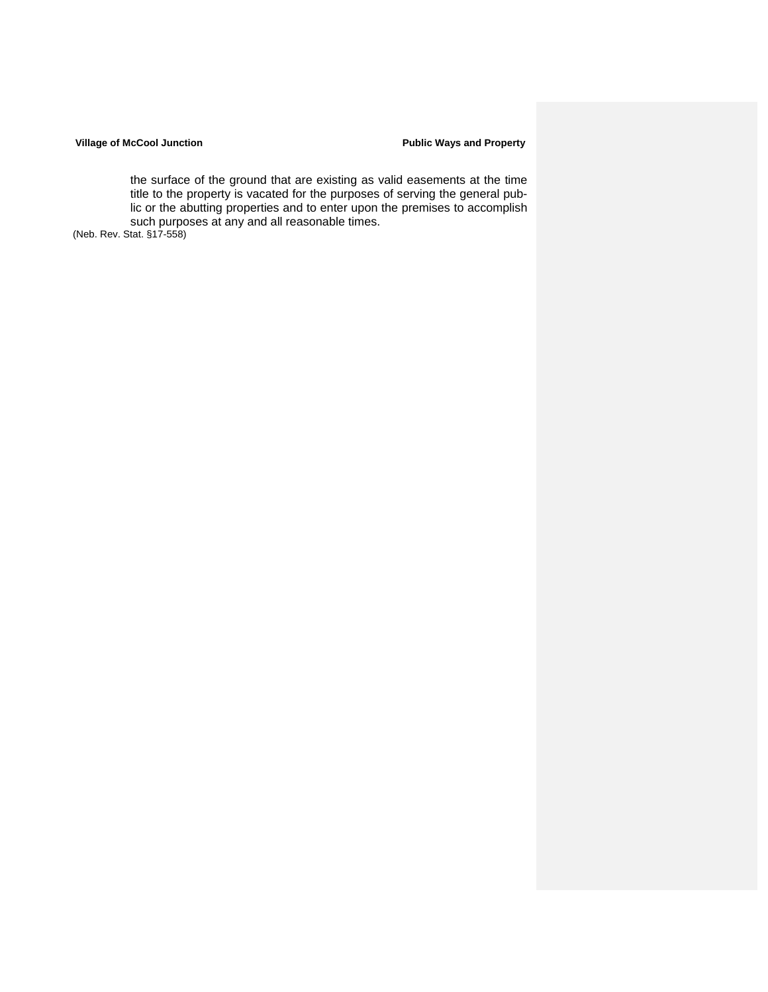### Village of McCool Junction **Public Ways and Property Public Ways and Property**

the surface of the ground that are existing as valid easements at the time title to the property is vacated for the purposes of serving the general public or the abutting properties and to enter upon the premises to accomplish such purposes at any and all reasonable times.

(Neb. Rev. Stat. §17-558)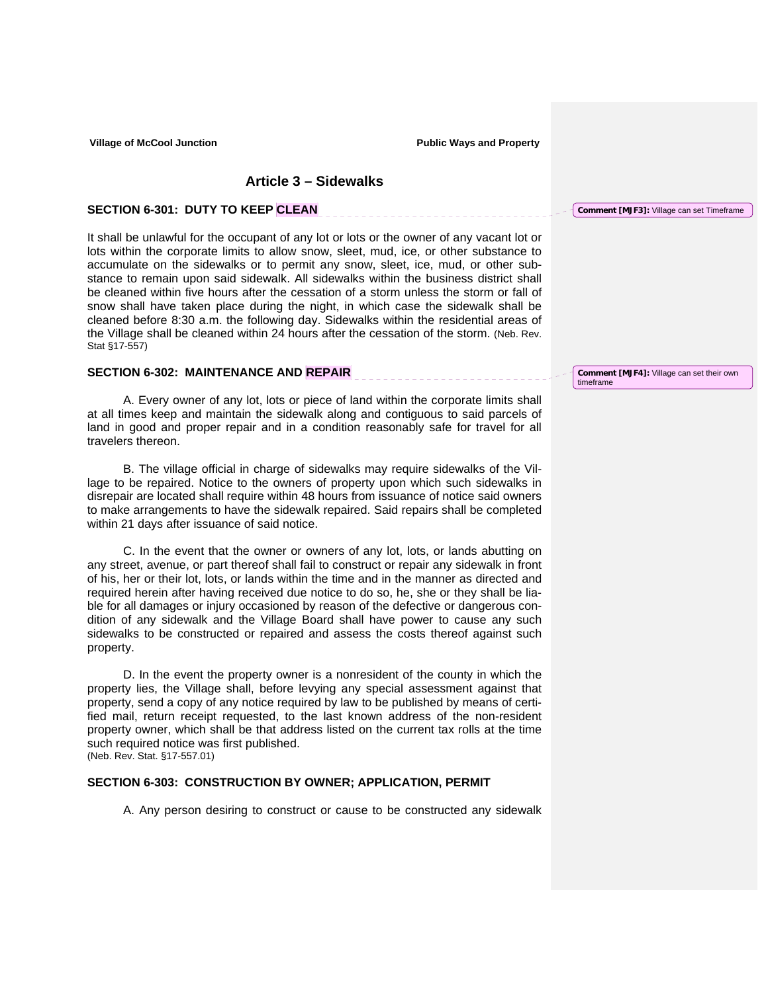\_\_\_\_\_\_\_\_\_\_\_\_\_\_\_\_\_\_\_\_\_\_\_

<u> 11111111111111111</u>

## **Article 3 – Sidewalks**

### **SECTION 6-301: DUTY TO KEEP CLEAN**

It shall be unlawful for the occupant of any lot or lots or the owner of any vacant lot or lots within the corporate limits to allow snow, sleet, mud, ice, or other substance to accumulate on the sidewalks or to permit any snow, sleet, ice, mud, or other substance to remain upon said sidewalk. All sidewalks within the business district shall be cleaned within five hours after the cessation of a storm unless the storm or fall of snow shall have taken place during the night, in which case the sidewalk shall be cleaned before 8:30 a.m. the following day. Sidewalks within the residential areas of the Village shall be cleaned within 24 hours after the cessation of the storm. (Neb. Rev. Stat §17-557)

## **SECTION 6-302: MAINTENANCE AND REPAIR**

A. Every owner of any lot, lots or piece of land within the corporate limits shall at all times keep and maintain the sidewalk along and contiguous to said parcels of land in good and proper repair and in a condition reasonably safe for travel for all travelers thereon.

B. The village official in charge of sidewalks may require sidewalks of the Village to be repaired. Notice to the owners of property upon which such sidewalks in disrepair are located shall require within 48 hours from issuance of notice said owners to make arrangements to have the sidewalk repaired. Said repairs shall be completed within 21 days after issuance of said notice.

C. In the event that the owner or owners of any lot, lots, or lands abutting on any street, avenue, or part thereof shall fail to construct or repair any sidewalk in front of his, her or their lot, lots, or lands within the time and in the manner as directed and required herein after having received due notice to do so, he, she or they shall be liable for all damages or injury occasioned by reason of the defective or dangerous condition of any sidewalk and the Village Board shall have power to cause any such sidewalks to be constructed or repaired and assess the costs thereof against such property.

D. In the event the property owner is a nonresident of the county in which the property lies, the Village shall, before levying any special assessment against that property, send a copy of any notice required by law to be published by means of certified mail, return receipt requested, to the last known address of the non-resident property owner, which shall be that address listed on the current tax rolls at the time such required notice was first published.

## (Neb. Rev. Stat. §17-557.01)

## **SECTION 6-303: CONSTRUCTION BY OWNER; APPLICATION, PERMIT**

A. Any person desiring to construct or cause to be constructed any sidewalk

**Comment [MJF4]:** Village can set their own timeframe

**Comment [MJF3]:** Village can set Timeframe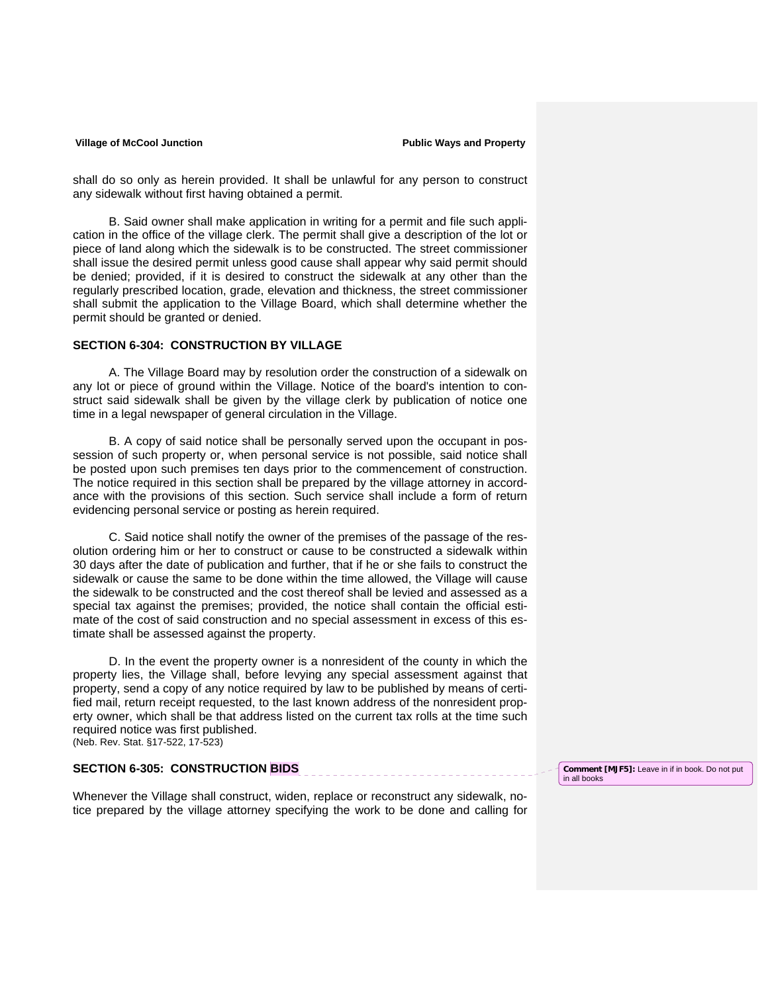shall do so only as herein provided. It shall be unlawful for any person to construct any sidewalk without first having obtained a permit.

B. Said owner shall make application in writing for a permit and file such application in the office of the village clerk. The permit shall give a description of the lot or piece of land along which the sidewalk is to be constructed. The street commissioner shall issue the desired permit unless good cause shall appear why said permit should be denied; provided, if it is desired to construct the sidewalk at any other than the regularly prescribed location, grade, elevation and thickness, the street commissioner shall submit the application to the Village Board, which shall determine whether the permit should be granted or denied.

## **SECTION 6-304: CONSTRUCTION BY VILLAGE**

 A. The Village Board may by resolution order the construction of a sidewalk on any lot or piece of ground within the Village. Notice of the board's intention to construct said sidewalk shall be given by the village clerk by publication of notice one time in a legal newspaper of general circulation in the Village.

 B. A copy of said notice shall be personally served upon the occupant in possession of such property or, when personal service is not possible, said notice shall be posted upon such premises ten days prior to the commencement of construction. The notice required in this section shall be prepared by the village attorney in accordance with the provisions of this section. Such service shall include a form of return evidencing personal service or posting as herein required.

 C. Said notice shall notify the owner of the premises of the passage of the resolution ordering him or her to construct or cause to be constructed a sidewalk within 30 days after the date of publication and further, that if he or she fails to construct the sidewalk or cause the same to be done within the time allowed, the Village will cause the sidewalk to be constructed and the cost thereof shall be levied and assessed as a special tax against the premises; provided, the notice shall contain the official estimate of the cost of said construction and no special assessment in excess of this estimate shall be assessed against the property.

D. In the event the property owner is a nonresident of the county in which the property lies, the Village shall, before levying any special assessment against that property, send a copy of any notice required by law to be published by means of certified mail, return receipt requested, to the last known address of the nonresident property owner, which shall be that address listed on the current tax rolls at the time such required notice was first published. (Neb. Rev. Stat. §17-522, 17-523)

# **SECTION 6-305: CONSTRUCTION BIDS**

Whenever the Village shall construct, widen, replace or reconstruct any sidewalk, notice prepared by the village attorney specifying the work to be done and calling for **Comment [MJF5]:** Leave in if in book. Do not put in all books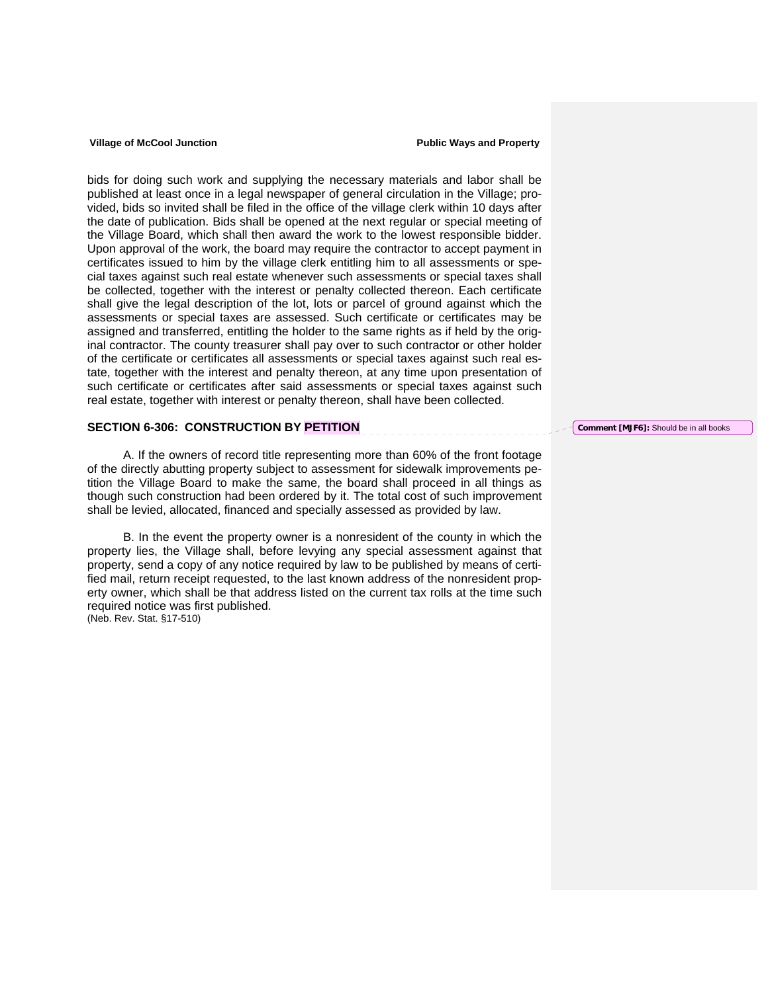bids for doing such work and supplying the necessary materials and labor shall be published at least once in a legal newspaper of general circulation in the Village; provided, bids so invited shall be filed in the office of the village clerk within 10 days after the date of publication. Bids shall be opened at the next regular or special meeting of the Village Board, which shall then award the work to the lowest responsible bidder. Upon approval of the work, the board may require the contractor to accept payment in certificates issued to him by the village clerk entitling him to all assessments or special taxes against such real estate whenever such assessments or special taxes shall be collected, together with the interest or penalty collected thereon. Each certificate shall give the legal description of the lot, lots or parcel of ground against which the assessments or special taxes are assessed. Such certificate or certificates may be assigned and transferred, entitling the holder to the same rights as if held by the original contractor. The county treasurer shall pay over to such contractor or other holder of the certificate or certificates all assessments or special taxes against such real estate, together with the interest and penalty thereon, at any time upon presentation of such certificate or certificates after said assessments or special taxes against such real estate, together with interest or penalty thereon, shall have been collected.

## **SECTION 6-306: CONSTRUCTION BY PETITION**

 A. If the owners of record title representing more than 60% of the front footage of the directly abutting property subject to assessment for sidewalk improvements petition the Village Board to make the same, the board shall proceed in all things as though such construction had been ordered by it. The total cost of such improvement shall be levied, allocated, financed and specially assessed as provided by law.

 B. In the event the property owner is a nonresident of the county in which the property lies, the Village shall, before levying any special assessment against that property, send a copy of any notice required by law to be published by means of certified mail, return receipt requested, to the last known address of the nonresident property owner, which shall be that address listed on the current tax rolls at the time such required notice was first published. (Neb. Rev. Stat. §17-510)

**Comment [MJF6]:** Should be in all books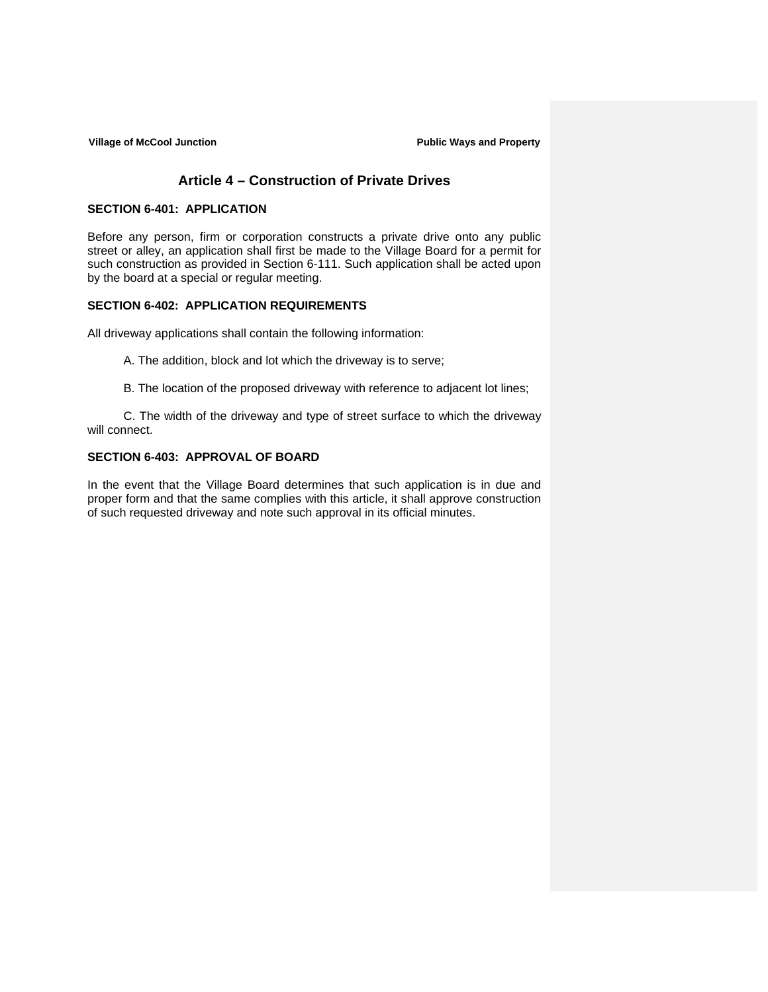Village of McCool Junction **Public Ways and Property Public Ways and Property** 

## **Article 4 – Construction of Private Drives**

## **SECTION 6-401: APPLICATION**

Before any person, firm or corporation constructs a private drive onto any public street or alley, an application shall first be made to the Village Board for a permit for such construction as provided in Section 6-111. Such application shall be acted upon by the board at a special or regular meeting.

## **SECTION 6-402: APPLICATION REQUIREMENTS**

All driveway applications shall contain the following information:

A. The addition, block and lot which the driveway is to serve;

B. The location of the proposed driveway with reference to adjacent lot lines;

C. The width of the driveway and type of street surface to which the driveway will connect.

## **SECTION 6-403: APPROVAL OF BOARD**

In the event that the Village Board determines that such application is in due and proper form and that the same complies with this article, it shall approve construction of such requested driveway and note such approval in its official minutes.